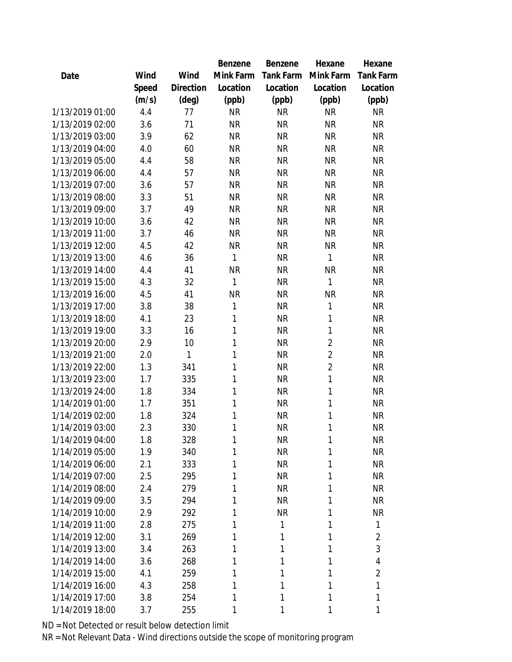|                 |       |           | Benzene   | Benzene   | Hexane         | Hexane           |
|-----------------|-------|-----------|-----------|-----------|----------------|------------------|
| Date            | Wind  | Wind      | Mink Farm | Tank Farm | Mink Farm      | <b>Tank Farm</b> |
|                 | Speed | Direction | Location  | Location  | Location       | Location         |
|                 | (m/s) | (deg)     | (ppb)     | (ppb)     | (ppb)          | (ppb)            |
| 1/13/2019 01:00 | 4.4   | 77        | <b>NR</b> | <b>NR</b> | <b>NR</b>      | <b>NR</b>        |
| 1/13/2019 02:00 | 3.6   | 71        | <b>NR</b> | <b>NR</b> | <b>NR</b>      | <b>NR</b>        |
| 1/13/2019 03:00 | 3.9   | 62        | <b>NR</b> | <b>NR</b> | <b>NR</b>      | <b>NR</b>        |
| 1/13/2019 04:00 | 4.0   | 60        | <b>NR</b> | <b>NR</b> | <b>NR</b>      | <b>NR</b>        |
| 1/13/2019 05:00 | 4.4   | 58        | <b>NR</b> | <b>NR</b> | <b>NR</b>      | <b>NR</b>        |
| 1/13/2019 06:00 | 4.4   | 57        | <b>NR</b> | <b>NR</b> | <b>NR</b>      | <b>NR</b>        |
| 1/13/2019 07:00 | 3.6   | 57        | <b>NR</b> | <b>NR</b> | <b>NR</b>      | <b>NR</b>        |
| 1/13/2019 08:00 | 3.3   | 51        | <b>NR</b> | <b>NR</b> | <b>NR</b>      | <b>NR</b>        |
| 1/13/2019 09:00 | 3.7   | 49        | <b>NR</b> | <b>NR</b> | <b>NR</b>      | <b>NR</b>        |
| 1/13/2019 10:00 | 3.6   | 42        | <b>NR</b> | <b>NR</b> | <b>NR</b>      | <b>NR</b>        |
| 1/13/2019 11:00 | 3.7   | 46        | <b>NR</b> | <b>NR</b> | <b>NR</b>      | <b>NR</b>        |
| 1/13/2019 12:00 | 4.5   | 42        | <b>NR</b> | <b>NR</b> | <b>NR</b>      | <b>NR</b>        |
| 1/13/2019 13:00 | 4.6   | 36        | 1         | <b>NR</b> | 1              | <b>NR</b>        |
| 1/13/2019 14:00 | 4.4   | 41        | <b>NR</b> | <b>NR</b> | <b>NR</b>      | <b>NR</b>        |
| 1/13/2019 15:00 | 4.3   | 32        | 1         | <b>NR</b> | 1              | <b>NR</b>        |
| 1/13/2019 16:00 | 4.5   | 41        | <b>NR</b> | <b>NR</b> | <b>NR</b>      | <b>NR</b>        |
| 1/13/2019 17:00 | 3.8   | 38        | 1         | <b>NR</b> | $\mathbf{1}$   | <b>NR</b>        |
| 1/13/2019 18:00 | 4.1   | 23        | 1         | <b>NR</b> | $\mathbf{1}$   | <b>NR</b>        |
| 1/13/2019 19:00 | 3.3   | 16        | 1         | <b>NR</b> | $\mathbf{1}$   | <b>NR</b>        |
| 1/13/2019 20:00 | 2.9   | 10        | 1         | <b>NR</b> | $\overline{2}$ | <b>NR</b>        |
| 1/13/2019 21:00 | 2.0   | 1         | 1         | <b>NR</b> | $\overline{2}$ | <b>NR</b>        |
| 1/13/2019 22:00 | 1.3   | 341       | 1         | <b>NR</b> | $\overline{2}$ | <b>NR</b>        |
| 1/13/2019 23:00 | 1.7   | 335       | 1         | <b>NR</b> | $\mathbf{1}$   | <b>NR</b>        |
| 1/13/2019 24:00 | 1.8   | 334       | 1         | <b>NR</b> | $\mathbf{1}$   | <b>NR</b>        |
| 1/14/2019 01:00 | 1.7   | 351       | 1         | <b>NR</b> | $\mathbf{1}$   | <b>NR</b>        |
| 1/14/2019 02:00 | 1.8   | 324       | 1         | <b>NR</b> | $\mathbf{1}$   | <b>NR</b>        |
| 1/14/2019 03:00 | 2.3   | 330       | 1         | <b>NR</b> | 1              | <b>NR</b>        |
| 1/14/2019 04:00 | 1.8   | 328       | 1         | <b>NR</b> | 1              | <b>NR</b>        |
| 1/14/2019 05:00 | 1.9   | 340       | 1         | <b>NR</b> | 1              | <b>NR</b>        |
| 1/14/2019 06:00 | 2.1   | 333       | 1         | <b>NR</b> | 1              | <b>NR</b>        |
| 1/14/2019 07:00 | 2.5   | 295       | 1         | <b>NR</b> | 1              | <b>NR</b>        |
| 1/14/2019 08:00 | 2.4   | 279       | 1         | <b>NR</b> | 1              | <b>NR</b>        |
| 1/14/2019 09:00 | 3.5   | 294       | 1         | <b>NR</b> | 1              | NR               |
| 1/14/2019 10:00 | 2.9   | 292       | 1         | <b>NR</b> | 1              | <b>NR</b>        |
| 1/14/2019 11:00 | 2.8   | 275       | 1         | 1         | 1              | 1                |
| 1/14/2019 12:00 | 3.1   | 269       | 1         | 1         | 1              | $\overline{2}$   |
| 1/14/2019 13:00 | 3.4   | 263       | 1         | 1         | 1              | 3                |
| 1/14/2019 14:00 | 3.6   | 268       | 1         | 1         | 1              | 4                |
| 1/14/2019 15:00 | 4.1   | 259       | 1         | 1         | 1              | $\overline{2}$   |
| 1/14/2019 16:00 | 4.3   | 258       | 1         | 1         | 1              | 1                |
| 1/14/2019 17:00 | 3.8   | 254       | 1         | 1         | 1              | 1                |
| 1/14/2019 18:00 | 3.7   | 255       | 1         | 1         | 1              | 1                |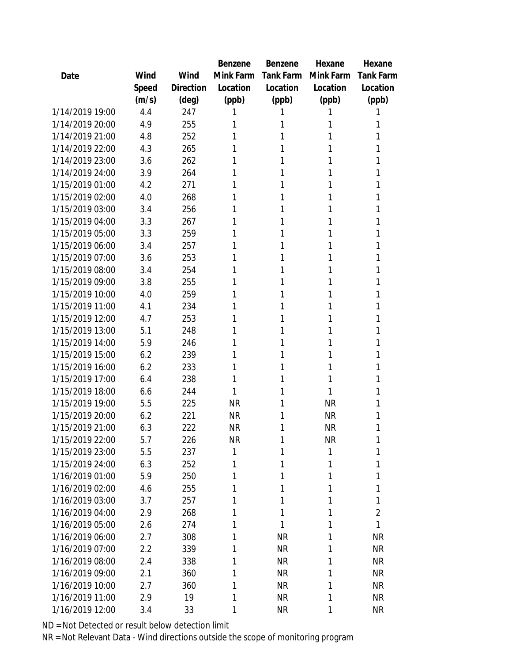|                 |       |           | Benzene   | Benzene   | Hexane    | Hexane         |
|-----------------|-------|-----------|-----------|-----------|-----------|----------------|
| Date            | Wind  | Wind      | Mink Farm | Tank Farm | Mink Farm | Tank Farm      |
|                 | Speed | Direction | Location  | Location  | Location  | Location       |
|                 | (m/s) | (deg)     | (ppb)     | (ppb)     | (ppb)     | (ppb)          |
| 1/14/2019 19:00 | 4.4   | 247       | 1         |           | 1         | 1              |
| 1/14/2019 20:00 | 4.9   | 255       | 1         | 1         | 1         | 1              |
| 1/14/2019 21:00 | 4.8   | 252       | 1         | 1         | 1         | 1              |
| 1/14/2019 22:00 | 4.3   | 265       | 1         | 1         | 1         | 1              |
| 1/14/2019 23:00 | 3.6   | 262       | 1         | 1         | 1         | 1              |
| 1/14/2019 24:00 | 3.9   | 264       | 1         | 1         | 1         | 1              |
| 1/15/2019 01:00 | 4.2   | 271       | 1         | 1         | 1         | 1              |
| 1/15/2019 02:00 | 4.0   | 268       | 1         | 1         | 1         | 1              |
| 1/15/2019 03:00 | 3.4   | 256       | 1         | 1         | 1         | 1              |
| 1/15/2019 04:00 | 3.3   | 267       | 1         | 1         | 1         | 1              |
| 1/15/2019 05:00 | 3.3   | 259       | 1         | 1         | 1         | 1              |
| 1/15/2019 06:00 | 3.4   | 257       | 1         | 1         | 1         | 1              |
| 1/15/2019 07:00 | 3.6   | 253       | 1         | 1         | 1         | 1              |
| 1/15/2019 08:00 | 3.4   | 254       | 1         | 1         | 1         | 1              |
| 1/15/2019 09:00 | 3.8   | 255       | 1         | 1         | 1         | 1              |
| 1/15/2019 10:00 | 4.0   | 259       | 1         | 1         | 1         | 1              |
| 1/15/2019 11:00 | 4.1   | 234       | 1         | 1         | 1         | 1              |
| 1/15/2019 12:00 | 4.7   | 253       | 1         | 1         | 1         | 1              |
| 1/15/2019 13:00 | 5.1   | 248       | 1         | 1         | 1         | 1              |
| 1/15/2019 14:00 | 5.9   | 246       | 1         | 1         | 1         | 1              |
| 1/15/2019 15:00 | 6.2   | 239       | 1         | 1         | 1         | 1              |
| 1/15/2019 16:00 | 6.2   | 233       | 1         | 1         | 1         | 1              |
| 1/15/2019 17:00 | 6.4   | 238       | 1         | 1         | 1         | 1              |
| 1/15/2019 18:00 | 6.6   | 244       | 1         | 1         | 1         | 1              |
| 1/15/2019 19:00 | 5.5   | 225       | <b>NR</b> | 1         | <b>NR</b> | 1              |
| 1/15/2019 20:00 | 6.2   | 221       | <b>NR</b> | 1         | <b>NR</b> | 1              |
| 1/15/2019 21:00 | 6.3   | 222       | <b>NR</b> | 1         | <b>NR</b> | 1              |
| 1/15/2019 22:00 | 5.7   | 226       | <b>NR</b> | 1         | <b>NR</b> | 1              |
| 1/15/2019 23:00 | 5.5   | 237       | 1         | 1         | 1         | 1              |
| 1/15/2019 24:00 | 6.3   | 252       | 1         | 1         | 1         | 1              |
| 1/16/2019 01:00 | 5.9   | 250       | 1         | 1         | 1         | 1              |
| 1/16/2019 02:00 | 4.6   | 255       | 1         | 1         | 1         | 1              |
| 1/16/2019 03:00 | 3.7   | 257       | 1         | 1         | 1         | 1              |
| 1/16/2019 04:00 | 2.9   | 268       | 1         | 1         | 1         | $\overline{2}$ |
| 1/16/2019 05:00 | 2.6   | 274       | 1         | 1         | 1         | 1              |
| 1/16/2019 06:00 | 2.7   | 308       | 1         | <b>NR</b> | 1         | <b>NR</b>      |
| 1/16/2019 07:00 | 2.2   | 339       | 1         | <b>NR</b> | 1         | <b>NR</b>      |
| 1/16/2019 08:00 | 2.4   | 338       | 1         | <b>NR</b> | 1         | <b>NR</b>      |
| 1/16/2019 09:00 | 2.1   | 360       | 1         | <b>NR</b> | 1         | <b>NR</b>      |
| 1/16/2019 10:00 | 2.7   | 360       | 1         | <b>NR</b> | 1         | <b>NR</b>      |
| 1/16/2019 11:00 | 2.9   | 19        | 1         | <b>NR</b> | 1         | <b>NR</b>      |
| 1/16/2019 12:00 | 3.4   | 33        | 1         | <b>NR</b> | 1         | <b>NR</b>      |
|                 |       |           |           |           |           |                |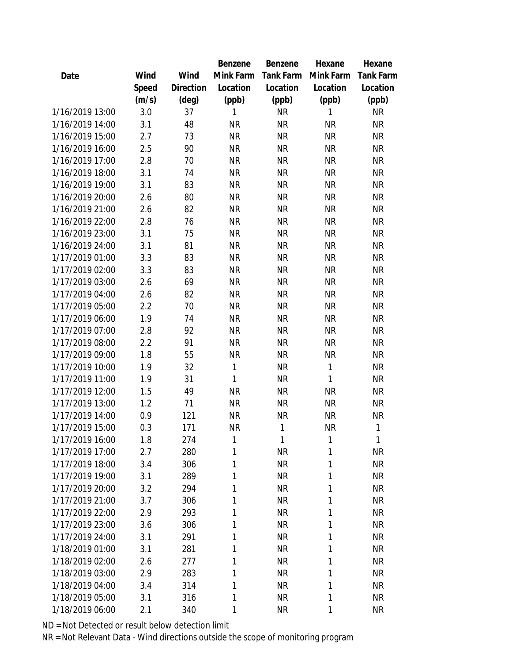|                 |       |           | Benzene   | Benzene      | Hexane    | Hexane       |
|-----------------|-------|-----------|-----------|--------------|-----------|--------------|
| Date            | Wind  | Wind      | Mink Farm | Tank Farm    | Mink Farm | Tank Farm    |
|                 | Speed | Direction | Location  | Location     | Location  | Location     |
|                 | (m/s) | (deg)     | (ppb)     | (ppb)        | (ppb)     | (ppb)        |
| 1/16/2019 13:00 | 3.0   | 37        | 1         | <b>NR</b>    | 1         | <b>NR</b>    |
| 1/16/2019 14:00 | 3.1   | 48        | <b>NR</b> | <b>NR</b>    | <b>NR</b> | <b>NR</b>    |
| 1/16/2019 15:00 | 2.7   | 73        | <b>NR</b> | <b>NR</b>    | <b>NR</b> | <b>NR</b>    |
| 1/16/2019 16:00 | 2.5   | 90        | <b>NR</b> | <b>NR</b>    | <b>NR</b> | <b>NR</b>    |
| 1/16/2019 17:00 | 2.8   | 70        | <b>NR</b> | <b>NR</b>    | <b>NR</b> | <b>NR</b>    |
| 1/16/2019 18:00 | 3.1   | 74        | <b>NR</b> | <b>NR</b>    | <b>NR</b> | <b>NR</b>    |
| 1/16/2019 19:00 | 3.1   | 83        | <b>NR</b> | <b>NR</b>    | <b>NR</b> | <b>NR</b>    |
| 1/16/2019 20:00 | 2.6   | 80        | <b>NR</b> | <b>NR</b>    | <b>NR</b> | <b>NR</b>    |
| 1/16/2019 21:00 | 2.6   | 82        | <b>NR</b> | <b>NR</b>    | <b>NR</b> | <b>NR</b>    |
| 1/16/2019 22:00 | 2.8   | 76        | <b>NR</b> | <b>NR</b>    | <b>NR</b> | <b>NR</b>    |
| 1/16/2019 23:00 | 3.1   | 75        | <b>NR</b> | <b>NR</b>    | <b>NR</b> | <b>NR</b>    |
| 1/16/2019 24:00 | 3.1   | 81        | <b>NR</b> | <b>NR</b>    | <b>NR</b> | <b>NR</b>    |
| 1/17/2019 01:00 | 3.3   | 83        | <b>NR</b> | <b>NR</b>    | <b>NR</b> | <b>NR</b>    |
| 1/17/2019 02:00 | 3.3   | 83        | <b>NR</b> | <b>NR</b>    | <b>NR</b> | <b>NR</b>    |
| 1/17/2019 03:00 | 2.6   | 69        | <b>NR</b> | <b>NR</b>    | <b>NR</b> | <b>NR</b>    |
| 1/17/2019 04:00 | 2.6   | 82        | <b>NR</b> | <b>NR</b>    | <b>NR</b> | <b>NR</b>    |
| 1/17/2019 05:00 | 2.2   | 70        | <b>NR</b> | <b>NR</b>    | <b>NR</b> | <b>NR</b>    |
| 1/17/2019 06:00 | 1.9   | 74        | <b>NR</b> | <b>NR</b>    | <b>NR</b> | <b>NR</b>    |
| 1/17/2019 07:00 | 2.8   | 92        | <b>NR</b> | <b>NR</b>    | <b>NR</b> | <b>NR</b>    |
| 1/17/2019 08:00 | 2.2   | 91        | <b>NR</b> | <b>NR</b>    | <b>NR</b> | <b>NR</b>    |
| 1/17/2019 09:00 | 1.8   | 55        | <b>NR</b> | <b>NR</b>    | <b>NR</b> | <b>NR</b>    |
| 1/17/2019 10:00 | 1.9   | 32        | 1         | <b>NR</b>    | 1         | <b>NR</b>    |
| 1/17/2019 11:00 | 1.9   | 31        | 1         | <b>NR</b>    | 1         | <b>NR</b>    |
| 1/17/2019 12:00 | 1.5   | 49        | <b>NR</b> | <b>NR</b>    | <b>NR</b> | <b>NR</b>    |
| 1/17/2019 13:00 | 1.2   | 71        | <b>NR</b> | <b>NR</b>    | <b>NR</b> | <b>NR</b>    |
| 1/17/2019 14:00 | 0.9   | 121       | <b>NR</b> | <b>NR</b>    | <b>NR</b> | <b>NR</b>    |
| 1/17/2019 15:00 | 0.3   | 171       | <b>NR</b> | 1            | <b>NR</b> | 1            |
| 1/17/2019 16:00 | 1.8   | 274       | 1         | $\mathbf{1}$ | 1         | $\mathbf{1}$ |
| 1/17/2019 17:00 | 2.7   | 280       | 1         | <b>NR</b>    | 1         | <b>NR</b>    |
| 1/17/2019 18:00 | 3.4   | 306       | 1         | <b>NR</b>    | 1         | <b>NR</b>    |
| 1/17/2019 19:00 | 3.1   | 289       | 1         | <b>NR</b>    | 1         | <b>NR</b>    |
| 1/17/2019 20:00 | 3.2   | 294       | 1         | <b>NR</b>    | 1         | <b>NR</b>    |
| 1/17/2019 21:00 | 3.7   | 306       | 1         | <b>NR</b>    | 1         | <b>NR</b>    |
| 1/17/2019 22:00 | 2.9   | 293       | 1         | <b>NR</b>    | 1         | <b>NR</b>    |
| 1/17/2019 23:00 | 3.6   | 306       | 1         | <b>NR</b>    | 1         | <b>NR</b>    |
| 1/17/2019 24:00 | 3.1   | 291       | 1         | <b>NR</b>    | 1         | <b>NR</b>    |
| 1/18/2019 01:00 | 3.1   | 281       | 1         | <b>NR</b>    | 1         | <b>NR</b>    |
| 1/18/2019 02:00 | 2.6   | 277       | 1         | <b>NR</b>    | 1         | <b>NR</b>    |
| 1/18/2019 03:00 | 2.9   | 283       | 1         | <b>NR</b>    | 1         | <b>NR</b>    |
| 1/18/2019 04:00 | 3.4   | 314       | 1         | <b>NR</b>    | 1         | <b>NR</b>    |
| 1/18/2019 05:00 | 3.1   | 316       | 1         | <b>NR</b>    | 1         | <b>NR</b>    |
| 1/18/2019 06:00 | 2.1   | 340       | 1         | <b>NR</b>    | 1         | <b>NR</b>    |
|                 |       |           |           |              |           |              |